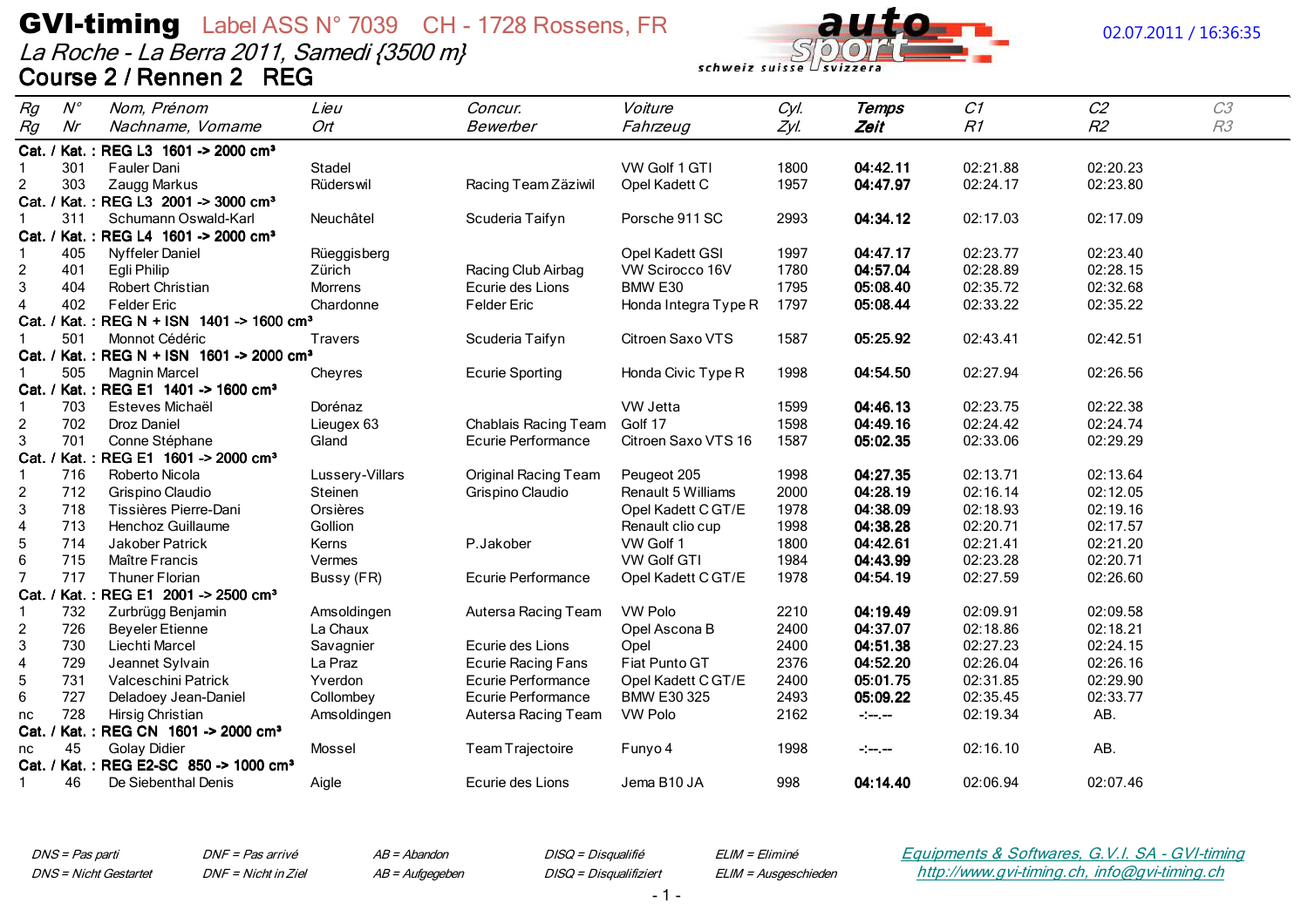La Roche - La Berra 2011, Samedi {3500 m} Course 2 / Rennen 2 REG



## 02.07.2011 / 16:36:35

| Rg             | $N^{\circ}$ | Nom, Prénom                                           | Lieu            | Concur.                     | Voiture                   | Cyl. | Temps                           | C1       | C <sub>2</sub> | C3 |
|----------------|-------------|-------------------------------------------------------|-----------------|-----------------------------|---------------------------|------|---------------------------------|----------|----------------|----|
| Rg             | Nr          | Nachname, Vorname                                     | Ort             | Bewerber                    | Fahrzeug                  | Zyl. | Zeit                            | R1       | R2             | R3 |
|                |             | Cat. / Kat.: REG L3 1601 -> 2000 cm <sup>3</sup>      |                 |                             |                           |      |                                 |          |                |    |
| -1             | 301         | Fauler Dani                                           | Stadel          |                             | VW Golf 1 GTI             | 1800 | 04:42.11                        | 02:21.88 | 02:20.23       |    |
| $\overline{2}$ | 303         | Zaugg Markus                                          | Rüderswil       | Racing Team Zäziwil         | Opel Kadett C             | 1957 | 04:47.97                        | 02:24.17 | 02:23.80       |    |
|                |             | Cat. / Kat.: REG L3 2001 -> 3000 cm <sup>3</sup>      |                 |                             |                           |      |                                 |          |                |    |
|                | 311         | Schumann Oswald-Karl                                  | Neuchâtel       | Scuderia Taifyn             | Porsche 911 SC            | 2993 | 04:34.12                        | 02:17.03 | 02:17.09       |    |
|                |             | Cat. / Kat.: REG L4 1601 -> 2000 cm <sup>3</sup>      |                 |                             |                           |      |                                 |          |                |    |
|                | 405         | <b>Nyffeler Daniel</b>                                | Rüeggisberg     |                             | Opel Kadett GSI           | 1997 | 04:47.17                        | 02:23.77 | 02:23.40       |    |
| $\overline{c}$ | 401         | Egli Philip                                           | Zürich          | Racing Club Airbag          | VW Scirocco 16V           | 1780 | 04:57.04                        | 02:28.89 | 02:28.15       |    |
| $\mathbf{3}$   | 404         | <b>Robert Christian</b>                               | <b>Morrens</b>  | Ecurie des Lions            | BMW E30                   | 1795 | 05:08.40                        | 02:35.72 | 02:32.68       |    |
| $\overline{4}$ | 402         | <b>Felder Eric</b>                                    | Chardonne       | <b>Felder Eric</b>          | Honda Integra Type R      | 1797 | 05:08.44                        | 02:33.22 | 02:35.22       |    |
|                |             | Cat. / Kat.: REG N + ISN 1401 -> 1600 cm <sup>3</sup> |                 |                             |                           |      |                                 |          |                |    |
|                | 501         | Monnot Cédéric                                        | <b>Travers</b>  | Scuderia Taifyn             | Citroen Saxo VTS          | 1587 | 05:25.92                        | 02:43.41 | 02:42.51       |    |
|                |             | Cat. / Kat.: REG N + ISN 1601 -> 2000 cm <sup>3</sup> |                 |                             |                           |      |                                 |          |                |    |
|                | 505         | <b>Magnin Marcel</b>                                  | Cheyres         | <b>Ecurie Sporting</b>      | Honda Civic Type R        | 1998 | 04:54.50                        | 02:27.94 | 02:26.56       |    |
|                |             | Cat. / Kat.: REG E1 1401 -> 1600 cm <sup>3</sup>      |                 |                             |                           |      |                                 |          |                |    |
|                | 703         | Esteves Michaël                                       | Dorénaz         |                             | VW Jetta                  | 1599 | 04:46.13                        | 02:23.75 | 02:22.38       |    |
| $\overline{2}$ | 702         | <b>Droz Daniel</b>                                    | Lieugex 63      | Chablais Racing Team        | Golf 17                   | 1598 | 04:49.16                        | 02:24.42 | 02:24.74       |    |
| 3              | 701         | Conne Stéphane                                        | Gland           | <b>Ecurie Performance</b>   | Citroen Saxo VTS 16       | 1587 | 05:02.35                        | 02:33.06 | 02:29.29       |    |
|                |             | Cat. / Kat.: REG E1 1601 -> 2000 cm <sup>3</sup>      |                 |                             |                           |      |                                 |          |                |    |
| -1             | 716         | Roberto Nicola                                        | Lussery-Villars | <b>Original Racing Team</b> | Peugeot 205               | 1998 | 04:27.35                        | 02:13.71 | 02:13.64       |    |
| $\overline{2}$ | 712         | Grispino Claudio                                      | Steinen         | Grispino Claudio            | <b>Renault 5 Williams</b> | 2000 | 04:28.19                        | 02:16.14 | 02:12.05       |    |
| 3              | 718         | Tissières Pierre-Dani                                 | Orsières        |                             | Opel Kadett C GT/E        | 1978 | 04:38.09                        | 02:18.93 | 02:19.16       |    |
| 4              | 713         | Henchoz Guillaume                                     | Gollion         |                             | Renault clio cup          | 1998 | 04:38.28                        | 02:20.71 | 02:17.57       |    |
| 5              | 714         | Jakober Patrick                                       | Kerns           | P.Jakober                   | VW Golf 1                 | 1800 | 04:42.61                        | 02:21.41 | 02:21.20       |    |
| 6              | 715         | Maître Francis                                        | Vermes          |                             | <b>VW Golf GTI</b>        | 1984 | 04:43.99                        | 02:23.28 | 02:20.71       |    |
| $\overline{7}$ | 717         | <b>Thuner Florian</b>                                 | Bussy (FR)      | Ecurie Performance          | Opel Kadett C GT/E        | 1978 | 04:54.19                        | 02:27.59 | 02:26.60       |    |
|                |             | Cat. / Kat.: REG E1 2001 -> 2500 cm <sup>3</sup>      |                 |                             |                           |      |                                 |          |                |    |
| া              | 732         | Zurbrügg Benjamin                                     | Amsoldingen     | Autersa Racing Team         | <b>VW Polo</b>            | 2210 | 04:19.49                        | 02:09.91 | 02:09.58       |    |
| $\overline{2}$ | 726         | <b>Beyeler Etienne</b>                                | La Chaux        |                             | Opel Ascona B             | 2400 | 04:37.07                        | 02:18.86 | 02:18.21       |    |
| 3              | 730         | Liechti Marcel                                        | Savagnier       | Ecurie des Lions            | Opel                      | 2400 | 04:51.38                        | 02:27.23 | 02:24.15       |    |
| $\overline{a}$ | 729         | Jeannet Sylvain                                       | La Praz         | <b>Ecurie Racing Fans</b>   | Fiat Punto GT             | 2376 | 04:52.20                        | 02:26.04 | 02:26.16       |    |
| $\sqrt{5}$     | 731         | Valceschini Patrick                                   | Yverdon         | Ecurie Performance          | Opel Kadett C GT/E        | 2400 | 05:01.75                        | 02:31.85 | 02:29.90       |    |
| 6              | 727         | Deladoey Jean-Daniel                                  | Collombey       | Ecurie Performance          | <b>BMW E30 325</b>        | 2493 | 05:09.22                        | 02:35.45 | 02:33.77       |    |
| nc             | 728         | Hirsig Christian                                      | Amsoldingen     | Autersa Racing Team         | <b>VW Polo</b>            | 2162 | $\frac{1}{2}$ and $\frac{1}{2}$ | 02:19.34 | AB.            |    |
|                |             | Cat. / Kat.: REG CN 1601 -> 2000 cm <sup>3</sup>      |                 |                             |                           |      |                                 |          |                |    |
| nc             | 45          | <b>Golay Didier</b>                                   | Mossel          | Team Trajectoire            | Funyo 4                   | 1998 | $-1$ $-1$ $-1$                  | 02:16.10 | AB.            |    |
|                |             | Cat. / Kat.: REG E2-SC 850 -> 1000 cm <sup>3</sup>    |                 |                             |                           |      |                                 |          |                |    |
| -1             | 46          | De Siebenthal Denis                                   | Aigle           | Ecurie des Lions            | Jema B10 JA               | 998  | 04:14.40                        | 02:06.94 | 02:07.46       |    |

DNS = Pas parti **DNS** = Nicht Gestartet DNF = Pas arrivé DNF = Nicht in Ziel  $AB = Abandon$ AB = Aufgegeben DISQ = Disqualifié DISQ = Disqualifiziert ELIM = Eliminé ELIM = Ausgeschieden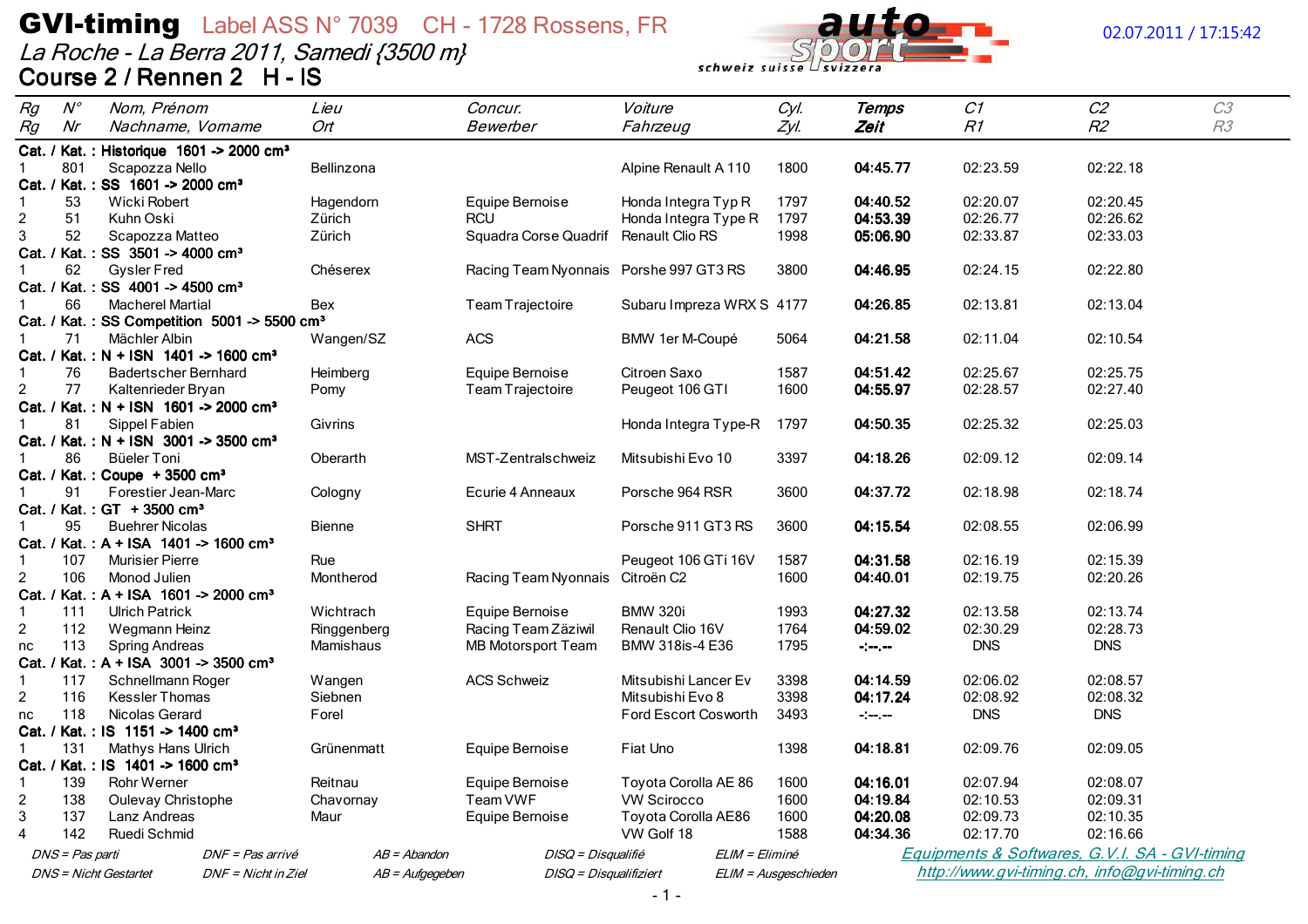# **GVI-timing** Label ASS N° 7039 CH - 1728 Rossens, FR<br>La Roche - La Berra 2011, Samedi {3500 m}<br>Course 2 / Rennen 2 H - IS



## 02.07.2011 / 17:15:42

| Rg                               | $N^{\circ}$     | Nom, Prénom                                          |                                                          | Lieu             | Concur.                                | Voiture                                         | Cyl.                 | Temps         | C1         | C <sub>2</sub>                                 | C3 |
|----------------------------------|-----------------|------------------------------------------------------|----------------------------------------------------------|------------------|----------------------------------------|-------------------------------------------------|----------------------|---------------|------------|------------------------------------------------|----|
| Rg                               | Nr              | Nachname, Vorname                                    |                                                          | Ort              | Bewerber                               | Fahrzeug                                        | Zyl.                 | Zeit          | R1         | R <sub>2</sub>                                 | R3 |
|                                  |                 | Cat. / Kat.: Historique 1601 -> 2000 cm <sup>3</sup> |                                                          |                  |                                        |                                                 |                      |               |            |                                                |    |
|                                  | 801             | Scapozza Nello                                       |                                                          | Bellinzona       |                                        | Alpine Renault A 110                            | 1800                 | 04:45.77      | 02:23.59   | 02:22.18                                       |    |
|                                  |                 | Cat. / Kat.: SS 1601 -> 2000 cm <sup>3</sup>         |                                                          |                  |                                        |                                                 |                      |               |            |                                                |    |
| $\mathbf 1$                      | 53              | Wicki Robert                                         |                                                          | Hagendorn        | Equipe Bernoise                        | Honda Integra Typ R                             | 1797                 | 04:40.52      | 02:20.07   | 02:20.45                                       |    |
| $\overline{c}$                   | 51              | Kuhn Oski                                            |                                                          | Zürich           | RCU                                    | Honda Integra Type R                            | 1797                 | 04:53.39      | 02:26.77   | 02:26.62                                       |    |
| 3                                | 52              | Scapozza Matteo                                      |                                                          | Zürich           | Squadra Corse Quadrif                  | Renault Clio RS                                 | 1998                 | 05:06.90      | 02:33.87   | 02:33.03                                       |    |
|                                  |                 | Cat. / Kat.: SS 3501 -> 4000 cm <sup>3</sup>         |                                                          |                  |                                        |                                                 |                      |               |            |                                                |    |
| -1                               | 62              | <b>Gysler Fred</b>                                   |                                                          | Chéserex         | Racing Team Nyonnais Porshe 997 GT3 RS |                                                 | 3800                 | 04:46.95      | 02:24.15   | 02:22.80                                       |    |
|                                  |                 | Cat. / Kat.: SS 4001 -> 4500 cm <sup>3</sup>         |                                                          |                  |                                        |                                                 |                      |               |            |                                                |    |
|                                  | 66              | <b>Macherel Martial</b>                              |                                                          | Bex              | Team Trajectoire                       | Subaru Impreza WRX S 4177                       |                      | 04:26.85      | 02:13.81   | 02:13.04                                       |    |
|                                  |                 |                                                      | Cat. / Kat.: SS Competition 5001 -> 5500 cm <sup>3</sup> |                  |                                        |                                                 |                      |               |            |                                                |    |
| -1                               | 71              | Mächler Albin                                        |                                                          | Wangen/SZ        | <b>ACS</b>                             | BMW 1er M-Coupé                                 | 5064                 | 04:21.58      | 02:11.04   | 02:10.54                                       |    |
|                                  |                 | Cat. / Kat.: N + ISN 1401 -> 1600 cm <sup>3</sup>    |                                                          |                  |                                        |                                                 |                      |               |            |                                                |    |
| -1                               | 76              | <b>Badertscher Bernhard</b>                          |                                                          | Heimberg         | Equipe Bernoise                        | Citroen Saxo                                    | 1587                 | 04:51.42      | 02:25.67   | 02:25.75                                       |    |
| $\overline{c}$                   | 77              | Kaltenrieder Bryan                                   |                                                          | Pomy             | Team Trajectoire                       | Peugeot 106 GTI                                 | 1600                 | 04:55.97      | 02:28.57   | 02:27.40                                       |    |
|                                  |                 | Cat. / Kat.: N + ISN 1601 -> 2000 cm <sup>3</sup>    |                                                          |                  |                                        |                                                 |                      |               |            |                                                |    |
|                                  | 81              | Sippel Fabien                                        |                                                          | Givrins          |                                        | Honda Integra Type-R                            | 1797                 | 04:50.35      | 02:25.32   | 02:25.03                                       |    |
|                                  |                 | Cat. / Kat.: N + ISN 3001 -> 3500 cm <sup>3</sup>    |                                                          |                  |                                        |                                                 |                      |               |            |                                                |    |
|                                  | 86              | Büeler Toni                                          |                                                          | Oberarth         | MST-Zentralschweiz                     | Mitsubishi Evo 10                               | 3397                 | 04:18.26      | 02:09.12   | 02:09.14                                       |    |
|                                  |                 | Cat. / Kat.: Coupe + 3500 cm <sup>3</sup>            |                                                          |                  |                                        |                                                 |                      |               |            |                                                |    |
|                                  | 91              | Forestier Jean-Marc                                  |                                                          | Cologny          | Ecurie 4 Anneaux                       | Porsche 964 RSR                                 | 3600                 | 04:37.72      | 02:18.98   | 02:18.74                                       |    |
|                                  |                 | Cat. / Kat.: GT + 3500 cm <sup>3</sup>               |                                                          |                  |                                        |                                                 |                      |               |            |                                                |    |
|                                  | 95              | <b>Buehrer Nicolas</b>                               |                                                          | <b>Bienne</b>    | <b>SHRT</b>                            | Porsche 911 GT3 RS                              | 3600                 | 04:15.54      | 02:08.55   | 02:06.99                                       |    |
|                                  |                 | Cat. / Kat.: A + ISA 1401 -> 1600 cm <sup>3</sup>    |                                                          |                  |                                        |                                                 |                      |               |            |                                                |    |
| $\mathbf{1}$                     | 107             | <b>Murisier Pierre</b>                               |                                                          | Rue              |                                        | Peugeot 106 GTi 16V                             | 1587                 | 04:31.58      | 02:16.19   | 02:15.39                                       |    |
| $\overline{c}$                   | 106             | Monod Julien                                         |                                                          | Montherod        | Racing Team Nyonnais                   | Citroën C2                                      | 1600                 | 04:40.01      | 02:19.75   | 02:20.26                                       |    |
|                                  |                 | Cat. / Kat.: A + ISA 1601 -> 2000 cm <sup>3</sup>    |                                                          |                  |                                        |                                                 |                      |               |            |                                                |    |
| $\mathbf{1}$                     | 111             | <b>Ulrich Patrick</b>                                |                                                          | Wichtrach        | Equipe Bernoise                        | <b>BMW 320i</b>                                 | 1993                 | 04:27.32      | 02:13.58   | 02:13.74                                       |    |
| $\overline{2}$                   | 112             | Wegmann Heinz                                        |                                                          | Ringgenberg      | Racing Team Zäziwil                    | Renault Clio 16V                                | 1764                 | 04:59.02      | 02:30.29   | 02:28.73                                       |    |
| nc                               | 113             | <b>Spring Andreas</b>                                |                                                          | Mamishaus        | <b>MB Motorsport Team</b>              | BMW 318is-4 E36                                 | 1795                 | $\sim$ $\sim$ | <b>DNS</b> | <b>DNS</b>                                     |    |
|                                  | 117             | Cat. / Kat.: A + ISA 3001 -> 3500 cm <sup>3</sup>    |                                                          |                  |                                        |                                                 |                      |               | 02:06.02   | 02:08.57                                       |    |
| $\mathbf{1}$<br>$\boldsymbol{2}$ | 116             | Schnellmann Roger<br><b>Kessler Thomas</b>           |                                                          | Wangen           | <b>ACS Schweiz</b>                     | Mitsubishi Lancer Ev                            | 3398<br>3398         | 04:14.59      | 02:08.92   | 02:08.32                                       |    |
|                                  | 118             | Nicolas Gerard                                       |                                                          | Siebnen<br>Forel |                                        | Mitsubishi Evo 8<br><b>Ford Escort Cosworth</b> | 3493                 | 04:17.24      | <b>DNS</b> | <b>DNS</b>                                     |    |
| nc                               |                 | Cat. / Kat.: IS 1151 -> 1400 cm <sup>3</sup>         |                                                          |                  |                                        |                                                 |                      | $\sim -1$     |            |                                                |    |
|                                  | 131             | Mathys Hans Ulrich                                   |                                                          | Grünenmatt       | Equipe Bernoise                        | Fiat Uno                                        | 1398                 | 04:18.81      | 02:09.76   | 02:09.05                                       |    |
|                                  |                 | Cat. / Kat.: IS 1401 -> 1600 cm <sup>3</sup>         |                                                          |                  |                                        |                                                 |                      |               |            |                                                |    |
| $\mathbf{1}$                     | 139             | <b>Rohr Werner</b>                                   |                                                          | Reitnau          | Equipe Bernoise                        | Toyota Corolla AE 86                            | 1600                 | 04:16.01      | 02:07.94   | 02:08.07                                       |    |
| $\boldsymbol{2}$                 | 138             | Oulevay Christophe                                   |                                                          | Chavornay        | Team VWF                               | <b>VW Scirocco</b>                              | 1600                 | 04:19.84      | 02:10.53   | 02:09.31                                       |    |
| $\ensuremath{\mathsf{3}}$        | 137             | Lanz Andreas                                         |                                                          | Maur             | Equipe Bernoise                        | Toyota Corolla AE86                             | 1600                 | 04:20.08      | 02:09.73   | 02:10.35                                       |    |
| $\overline{4}$                   | 142             | Ruedi Schmid                                         |                                                          |                  |                                        | VW Golf 18                                      | 1588                 | 04:34.36      | 02:17.70   | 02:16.66                                       |    |
|                                  |                 |                                                      |                                                          |                  |                                        |                                                 |                      |               |            |                                                |    |
|                                  | DNS = Pas parti |                                                      | DNF = Pas arrivé                                         | AB = Abandon     | DISQ = Disqualifié                     |                                                 | ELIM = Eliminé       |               |            | Equipments & Softwares, G.V.I. SA - GVI-timing |    |
|                                  |                 | <b>DNS</b> = Nicht Gestartet                         | $DNF = Nicht$ in $Ziel$                                  | AB = Aufgegeben  | DISQ = Disqualifiziert                 |                                                 | ELIM = Ausgeschieden |               |            | http://www.gvi-timing.ch, info@gvi-timing.ch   |    |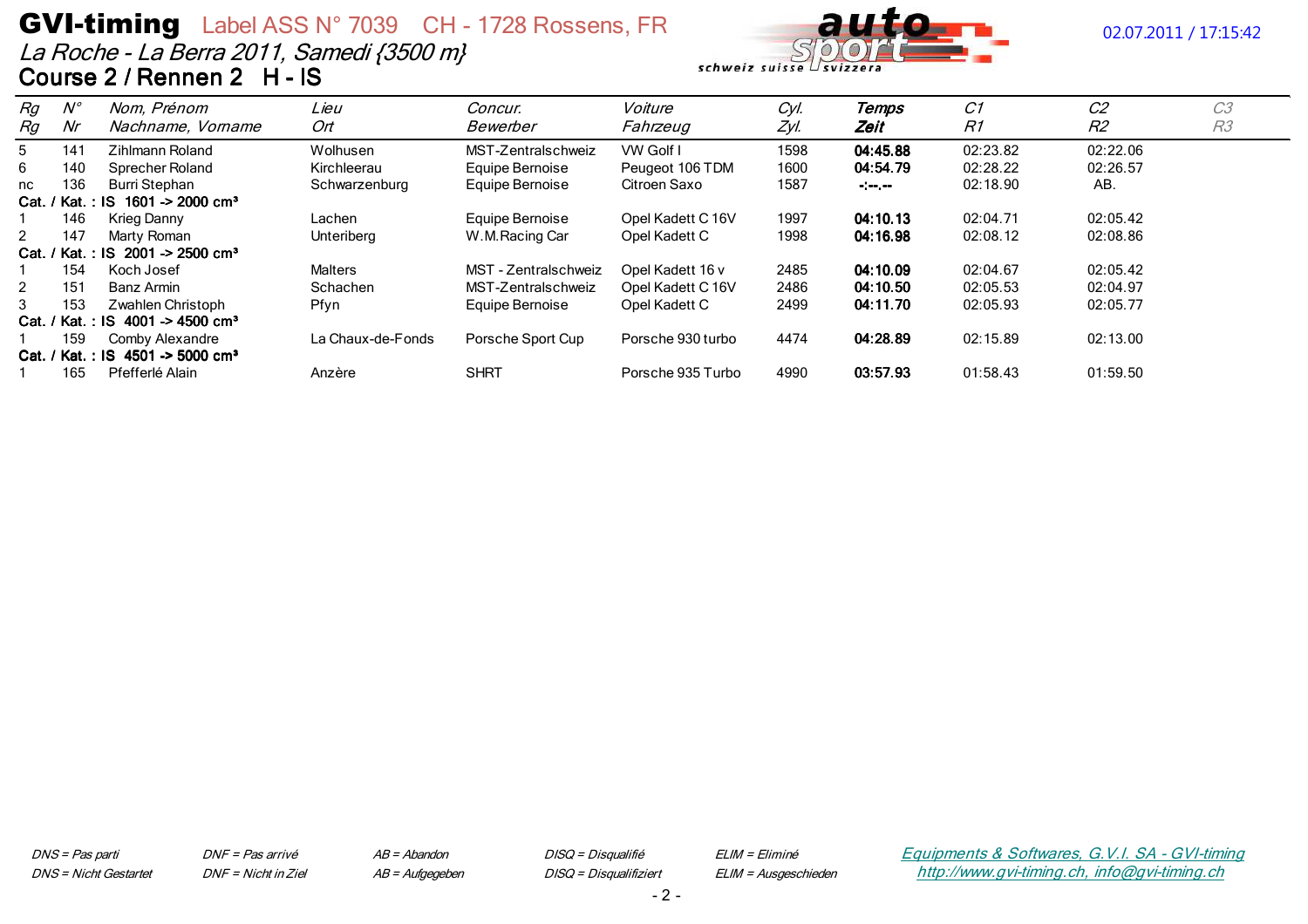## **GVI-timing** Label ASS N° 7039 CH - 1728 Rossens, FR La Roche - La Berra 2011, Samedi {3500 m} Course 2 / Rennen 2 H - IS



## 02.07.2011 / 17:15:42

| Rg | $N^{\circ}$ | Nom, Prénom                                             | Lieu              | Concur.              | Voiture           | Cyl. | Temps     | C1       | C <sub>2</sub> | C <sub>3</sub> |
|----|-------------|---------------------------------------------------------|-------------------|----------------------|-------------------|------|-----------|----------|----------------|----------------|
| Rg | Nr          | Nachname, Vorname                                       | Ort               | Bewerber             | Fahrzeug          | Zyl. | Zeit      | R1       | R2             | R <sub>3</sub> |
| 5  | 141         | Zihlmann Roland                                         | Wolhusen          | MST-Zentralschweiz   | VW Golf I         | 1598 | 04:45.88  | 02:23.82 | 02:22.06       |                |
| 6  | 140         | Sprecher Roland                                         | Kirchleerau       | Equipe Bernoise      | Peugeot 106 TDM   | 1600 | 04:54.79  | 02:28.22 | 02:26.57       |                |
| nc | 136         | Burri Stephan                                           | Schwarzenburg     | Equipe Bernoise      | Citroen Saxo      | 1587 | $-1$ $-1$ | 02:18.90 | AB.            |                |
|    |             | Cat. / Kat.: IS 1601 -> 2000 cm <sup>3</sup>            |                   |                      |                   |      |           |          |                |                |
|    | 146         | Krieg Danny                                             | Lachen            | Equipe Bernoise      | Opel Kadett C 16V | 1997 | 04:10.13  | 02:04.71 | 02:05.42       |                |
| 2  | 147         | Marty Roman                                             | Unteriberg        | W.M.Racing Car       | Opel Kadett C     | 1998 | 04:16.98  | 02:08.12 | 02:08.86       |                |
|    |             | Cat. / Kat.: IS 2001 -> 2500 cm <sup>3</sup>            |                   |                      |                   |      |           |          |                |                |
|    | 154         | Koch Josef                                              | Malters           | MST - Zentralschweiz | Opel Kadett 16 v  | 2485 | 04:10.09  | 02:04.67 | 02:05.42       |                |
| 2  | 151         | Banz Armin                                              | Schachen          | MST-Zentralschweiz   | Opel Kadett C 16V | 2486 | 04:10.50  | 02:05.53 | 02:04.97       |                |
| 3  | 153         | Zwahlen Christoph                                       | Pfyn              | Equipe Bernoise      | Opel Kadett C     | 2499 | 04:11.70  | 02:05.93 | 02:05.77       |                |
|    |             | Cat. / Kat.: IS 4001 -> 4500 cm <sup>3</sup>            |                   |                      |                   |      |           |          |                |                |
|    | 159         | Comby Alexandre                                         | La Chaux-de-Fonds | Porsche Sport Cup    | Porsche 930 turbo | 4474 | 04:28.89  | 02:15.89 | 02:13.00       |                |
|    |             | Cat. / Kat.: IS $4501 \rightarrow 5000$ cm <sup>3</sup> |                   |                      |                   |      |           |          |                |                |
|    | 165         | Pfefferlé Alain                                         | Anzère            | <b>SHRT</b>          | Porsche 935 Turbo | 4990 | 03:57.93  | 01:58.43 | 01:59.50       |                |

DNS = Pas parti **DNS** = Nicht Gestartet DNF = Pas arrivé DNF = Nicht in Ziel  $AB = Abandon$ AB = Aufgegeben DISQ = Disqualifié DISQ = Disqualifiziert ELIM = Eliminé ELIM = Ausgeschieden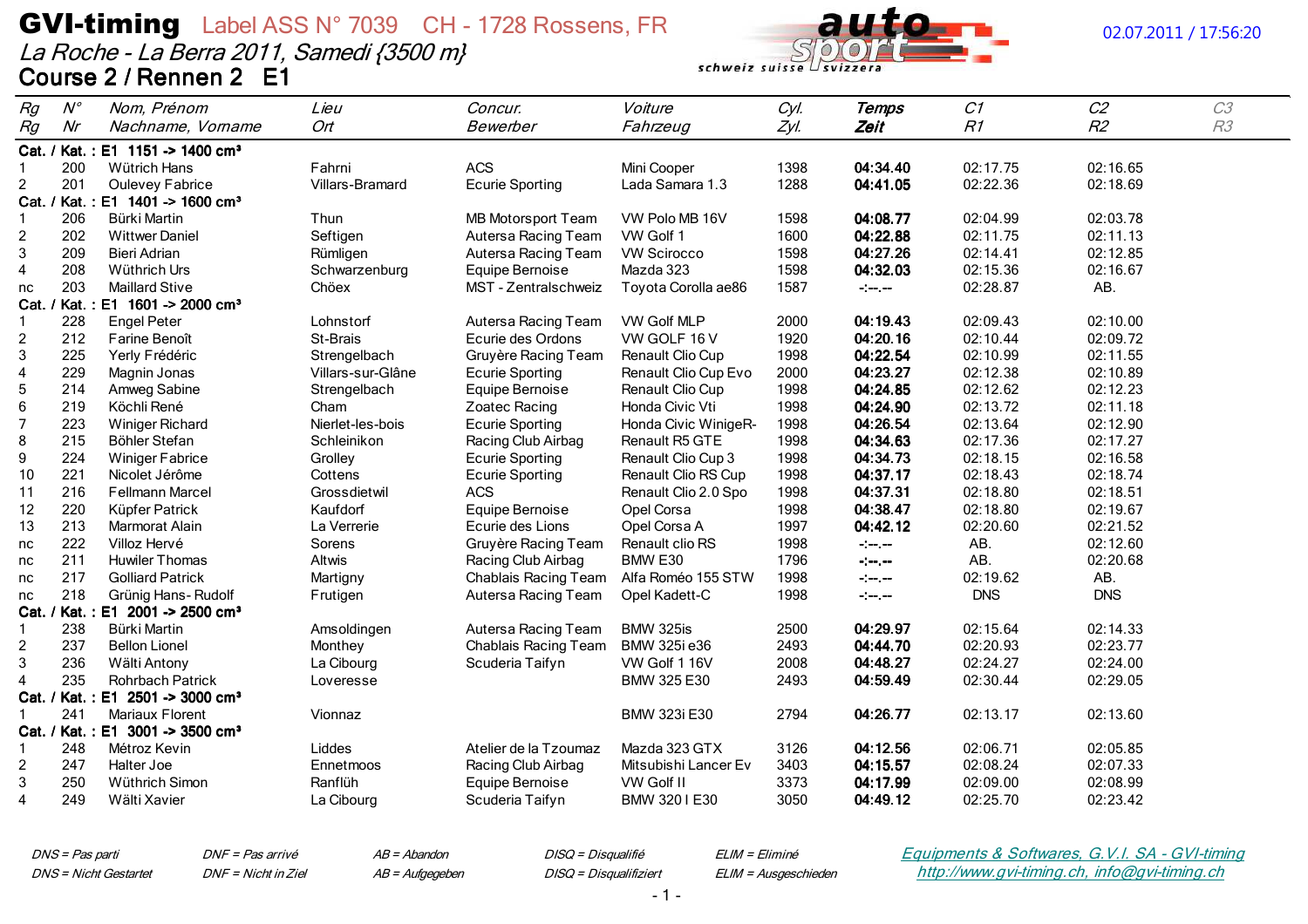La Roche - La Berra 2011, Samedi {3500 m} Course 2 / Rennen 2 E1



### 02.07.2011 / 17:56:20

| Rg             | $N^{\circ}$ | Nom, Prénom                                  | Lieu              | Concur.                   | Voiture              | Cyl. | <b>Temps</b>                                      | C1         | C2             | C3 |
|----------------|-------------|----------------------------------------------|-------------------|---------------------------|----------------------|------|---------------------------------------------------|------------|----------------|----|
| Rg             | Nr          | Nachname, Vorname                            | Ort               | Bewerber                  | Fahrzeug             | Zyl. | Zeit                                              | R1         | R <sub>2</sub> | R3 |
|                |             | Cat. / Kat.: E1 1151 -> 1400 cm <sup>3</sup> |                   |                           |                      |      |                                                   |            |                |    |
|                | 200         | Wütrich Hans                                 | Fahrni            | <b>ACS</b>                | Mini Cooper          | 1398 | 04:34.40                                          | 02:17.75   | 02:16.65       |    |
| $\overline{2}$ | 201         | Oulevey Fabrice                              | Villars-Bramard   | <b>Ecurie Sporting</b>    | Lada Samara 1.3      | 1288 | 04:41.05                                          | 02:22.36   | 02:18.69       |    |
| Cat.           |             | / Kat.: E1 1401 -> 1600 cm <sup>3</sup>      |                   |                           |                      |      |                                                   |            |                |    |
| -1             | 206         | Bürki Martin                                 | Thun              | <b>MB Motorsport Team</b> | VW Polo MB 16V       | 1598 | 04:08.77                                          | 02:04.99   | 02:03.78       |    |
| $\overline{c}$ | 202         | <b>Wittwer Daniel</b>                        | Seftigen          | Autersa Racing Team       | VW Golf 1            | 1600 | 04:22.88                                          | 02:11.75   | 02:11.13       |    |
| $\mathbf{3}$   | 209         | <b>Bieri Adrian</b>                          | Rümligen          | Autersa Racing Team       | <b>VW Scirocco</b>   | 1598 | 04:27.26                                          | 02:14.41   | 02:12.85       |    |
| $\overline{4}$ | 208         | Wüthrich Urs                                 | Schwarzenburg     | Equipe Bernoise           | Mazda 323            | 1598 | 04:32.03                                          | 02:15.36   | 02:16.67       |    |
| nc             | 203         | <b>Maillard Stive</b>                        | Chöex             | MST - Zentralschweiz      | Toyota Corolla ae86  | 1587 | $\frac{1}{2}$ and $\frac{1}{2}$ and $\frac{1}{2}$ | 02:28.87   | AB.            |    |
|                |             | Cat. / Kat.: E1 1601 -> 2000 cm <sup>3</sup> |                   |                           |                      |      |                                                   |            |                |    |
| $\mathbf{1}$   | 228         | <b>Engel Peter</b>                           | Lohnstorf         | Autersa Racing Team       | VW Golf MLP          | 2000 | 04:19.43                                          | 02:09.43   | 02:10.00       |    |
| $\overline{c}$ | 212         | Farine Benoît                                | St-Brais          | Ecurie des Ordons         | VW GOLF 16 V         | 1920 | 04:20.16                                          | 02:10.44   | 02:09.72       |    |
| $\mathbf{3}$   | 225         | Yerly Frédéric                               | Strengelbach      | Gruyère Racing Team       | Renault Clio Cup     | 1998 | 04:22.54                                          | 02:10.99   | 02:11.55       |    |
| $\overline{4}$ | 229         | Magnin Jonas                                 | Villars-sur-Glâne | <b>Ecurie Sporting</b>    | Renault Clio Cup Evo | 2000 | 04:23.27                                          | 02:12.38   | 02:10.89       |    |
| $\overline{5}$ | 214         | Amweg Sabine                                 | Strengelbach      | Equipe Bernoise           | Renault Clio Cup     | 1998 | 04:24.85                                          | 02:12.62   | 02:12.23       |    |
| $\,6\,$        | 219         | Köchli René                                  | Cham              | Zoatec Racing             | Honda Civic Vti      | 1998 | 04:24.90                                          | 02:13.72   | 02:11.18       |    |
| $\overline{7}$ | 223         | <b>Winiger Richard</b>                       | Nierlet-les-bois  | <b>Ecurie Sporting</b>    | Honda Civic WinigeR- | 1998 | 04:26.54                                          | 02:13.64   | 02:12.90       |    |
| 8              | 215         | Böhler Stefan                                | Schleinikon       | Racing Club Airbag        | Renault R5 GTE       | 1998 | 04:34.63                                          | 02:17.36   | 02:17.27       |    |
| $9\,$          | 224         | <b>Winiger Fabrice</b>                       | Grolley           | <b>Ecurie Sporting</b>    | Renault Clio Cup 3   | 1998 | 04:34.73                                          | 02:18.15   | 02:16.58       |    |
| 10             | 221         | Nicolet Jérôme                               | Cottens           | <b>Ecurie Sporting</b>    | Renault Clio RS Cup  | 1998 | 04:37.17                                          | 02:18.43   | 02:18.74       |    |
| 11             | 216         | Fellmann Marcel                              | Grossdietwil      | <b>ACS</b>                | Renault Clio 2.0 Spo | 1998 | 04:37.31                                          | 02:18.80   | 02:18.51       |    |
| 12             | 220         | Küpfer Patrick                               | Kaufdorf          | Equipe Bernoise           | Opel Corsa           | 1998 | 04:38.47                                          | 02:18.80   | 02:19.67       |    |
| 13             | 213         | Marmorat Alain                               | La Verrerie       | Ecurie des Lions          | Opel Corsa A         | 1997 | 04:42.12                                          | 02:20.60   | 02:21.52       |    |
| nc             | 222         | Villoz Hervé                                 | Sorens            | Gruyère Racing Team       | Renault clio RS      | 1998 | $-1-\epsilon$                                     | AB.        | 02:12.60       |    |
| nc             | 211         | <b>Huwiler Thomas</b>                        | Altwis            | Racing Club Airbag        | BMW E30              | 1796 | $\frac{1}{2}$ and $\frac{1}{2}$ and $\frac{1}{2}$ | AB.        | 02:20.68       |    |
| nc             | 217         | <b>Golliard Patrick</b>                      | Martigny          | Chablais Racing Team      | Alfa Roméo 155 STW   | 1998 | $\frac{1}{2}$ and $\frac{1}{2}$                   | 02:19.62   | AB.            |    |
| nc             | 218         | Grünig Hans-Rudolf                           | Frutigen          | Autersa Racing Team       | Opel Kadett-C        | 1998 | $-1 - 1 - 1 - 1 = 0$                              | <b>DNS</b> | <b>DNS</b>     |    |
| Cat.           |             | / Kat.: E1 2001 -> 2500 cm <sup>3</sup>      |                   |                           |                      |      |                                                   |            |                |    |
| -1             | 238         | Bürki Martin                                 | Amsoldingen       | Autersa Racing Team       | BMW 325is            | 2500 | 04:29.97                                          | 02:15.64   | 02:14.33       |    |
| $\overline{c}$ | 237         | <b>Bellon Lionel</b>                         | Monthey           | Chablais Racing Team      | BMW 325i e36         | 2493 | 04:44.70                                          | 02:20.93   | 02:23.77       |    |
| 3              | 236         | Wälti Antony                                 | La Cibourg        | Scuderia Taifyn           | VW Golf 1 16V        | 2008 | 04:48.27                                          | 02:24.27   | 02:24.00       |    |
| $\overline{4}$ | 235         | <b>Rohrbach Patrick</b>                      | Loveresse         |                           | BMW 325 E30          | 2493 | 04:59.49                                          | 02:30.44   | 02:29.05       |    |
|                |             | Cat. / Kat.: E1 2501 -> 3000 cm <sup>3</sup> |                   |                           |                      |      |                                                   |            |                |    |
| -1             | 241         | Mariaux Florent                              | Vionnaz           |                           | BMW 323i E30         | 2794 | 04:26.77                                          | 02:13.17   | 02:13.60       |    |
|                |             | Cat. / Kat.: E1 3001 -> 3500 cm <sup>3</sup> |                   |                           |                      |      |                                                   |            |                |    |
| -1             | 248         | Métroz Kevin                                 | Liddes            | Atelier de la Tzoumaz     | Mazda 323 GTX        | 3126 | 04:12.56                                          | 02:06.71   | 02:05.85       |    |
| $\overline{c}$ | 247         | Halter Joe                                   | Ennetmoos         | Racing Club Airbag        | Mitsubishi Lancer Ev | 3403 | 04:15.57                                          | 02:08.24   | 02:07.33       |    |
| $\mathbf{3}$   | 250         | Wüthrich Simon                               | Ranflüh           | Equipe Bernoise           | VW Golf II           | 3373 | 04:17.99                                          | 02:09.00   | 02:08.99       |    |
| $\overline{4}$ | 249         | Wälti Xavier                                 | La Cibourg        | Scuderia Taifyn           | BMW 3201E30          | 3050 | 04:49.12                                          | 02:25.70   | 02:23.42       |    |

DNS = Pas parti **DNS** = Nicht Gestartet DNF = Pas arrivé DNF = Nicht in Ziel  $AB = Abandon$ 

AB = Aufgegeben

DISQ = Disqualifié DISQ = Disqualifiziert ELIM = Eliminé ELIM = Ausgeschieden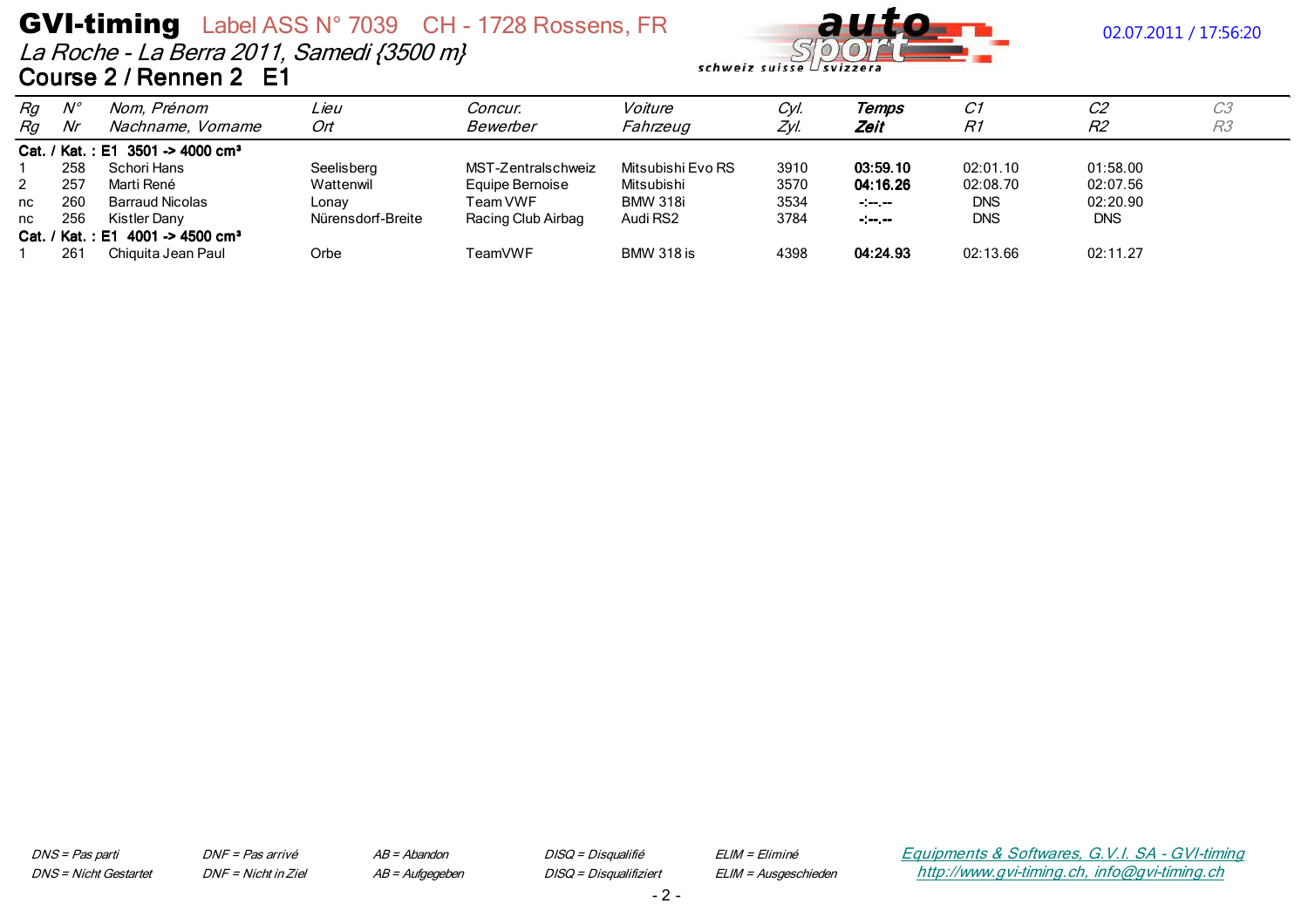La Roche - La Berra 2011, Samedi {3500 m} Course 2 / Rennen 2 E1



| Rg | $N^{\circ}$     | Nom, Prénom                                  | Lieu              | Concur.            | Voiture           | Cyl. | Temps            | C1         | C <sub>2</sub> | C <sub>3</sub> |
|----|-----------------|----------------------------------------------|-------------------|--------------------|-------------------|------|------------------|------------|----------------|----------------|
| Rg | Nr              | Nachname, Vorname                            | Ort               | Bewerber           | Fahrzeug          | ZvI  | Zeit             | R1         | R2             | R <sub>3</sub> |
|    |                 | Cat. / Kat.: E1 3501 -> 4000 cm <sup>3</sup> |                   |                    |                   |      |                  |            |                |                |
|    | 258             | Schori Hans                                  | Seelisberg        | MST-Zentralschweiz | Mitsubishi Evo RS | 3910 | 03:59.10         | 02:01.10   | 01:58.00       |                |
|    | 257             | Marti René                                   | Wattenwil         | Equipe Bernoise    | Mitsubishi        | 3570 | 04:16.26         | 02:08.70   | 02:07.56       |                |
| nc | 260             | Barraud Nicolas                              | Lonav             | Team VWF           | <b>BMW 318i</b>   | 3534 | $-1 - 1 - 1 - 1$ | <b>DNS</b> | 02:20.90       |                |
| nc | 256             | Kistler Dany                                 | Nürensdorf-Breite | Racing Club Airbag | Audi RS2          | 3784 | $-1 - 1 - 1$     | <b>DNS</b> | <b>DNS</b>     |                |
|    |                 | Cat. / Kat.: E1 4001 -> 4500 cm <sup>3</sup> |                   |                    |                   |      |                  |            |                |                |
|    | 26 <sup>2</sup> | Chiguita Jean Paul                           | Orbe              | TeamVWF            | <b>BMW 318 is</b> | 4398 | 04:24.93         | 02:13.66   | 02:11.27       |                |

DNS = Pas parti **DNS** = Nicht Gestartet DNF = Pas arrivé DNF = Nicht in Ziel  $AB = Abandon$ AB = Aufgegeben DISQ = Disqualifié DISQ = Disqualifiziert ELIM = Eliminé ELIM = Ausgeschieden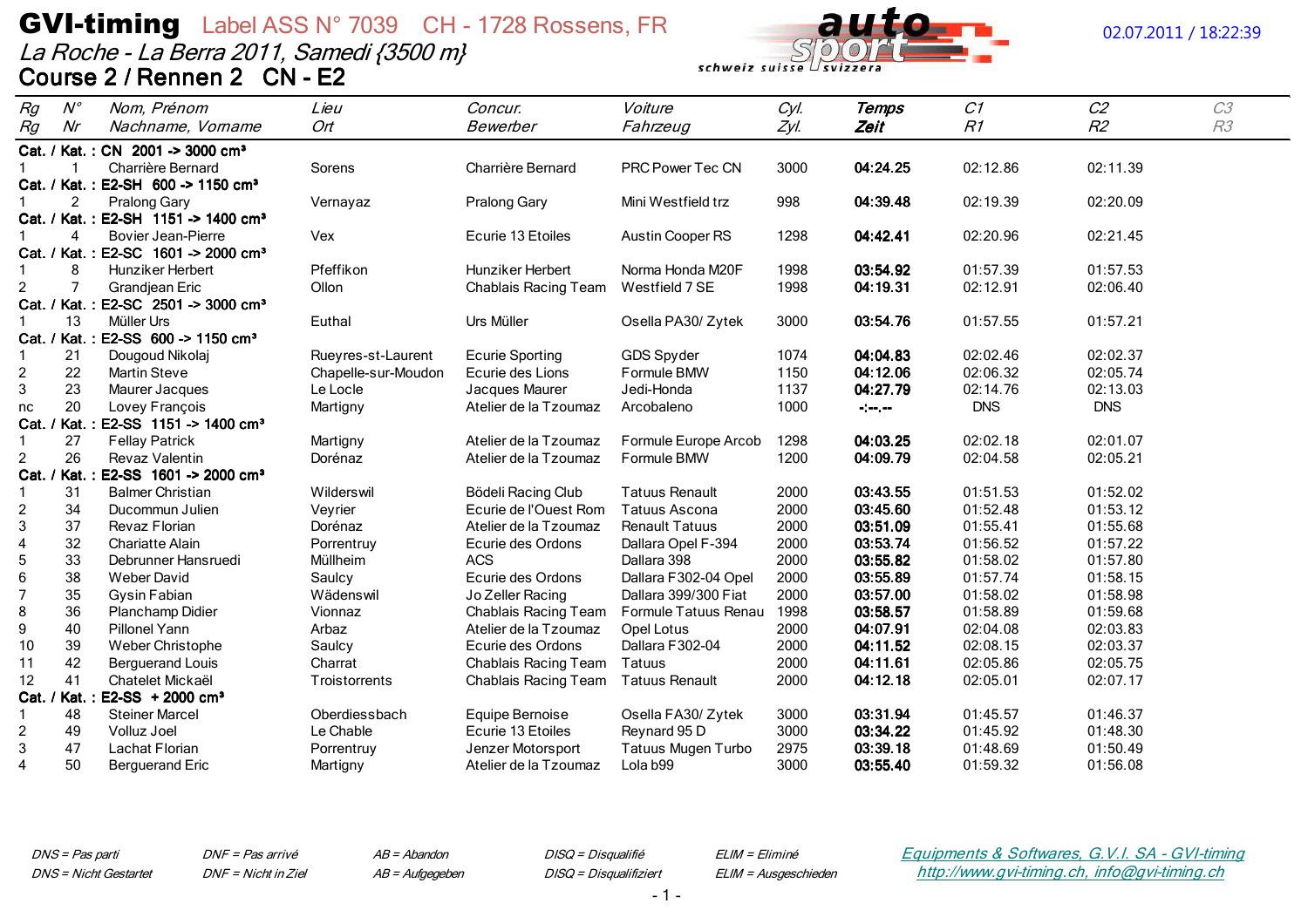La Roche - La Berra 2011, Samedi {3500 m} Course 2 / Rennen 2 CN - E2



## 02.07.2011 / 18:22:39

| Rg                        | $N^{\circ}$            | Nom, Prénom                                     | Lieu                | Concur.                | Voiture                   | Cyl. | Temps                           | C1         | C <sub>2</sub> | C3 |
|---------------------------|------------------------|-------------------------------------------------|---------------------|------------------------|---------------------------|------|---------------------------------|------------|----------------|----|
| Rg                        | Nr                     | Nachname, Vorname                               | Ort                 | Bewerber               | Fahrzeug                  | Zyl. | Zeit                            | R1         | R <sub>2</sub> | R3 |
|                           |                        | Cat. / Kat.: CN 2001 -> 3000 cm <sup>3</sup>    |                     |                        |                           |      |                                 |            |                |    |
|                           |                        | Charrière Bernard                               | Sorens              | Charrière Bernard      | PRC Power Tec CN          | 3000 | 04:24.25                        | 02:12.86   | 02:11.39       |    |
|                           |                        | Cat. / Kat.: E2-SH 600 -> 1150 cm <sup>3</sup>  |                     |                        |                           |      |                                 |            |                |    |
|                           | $\overline{2}$         | Pralong Gary                                    | Vernayaz            | Pralong Gary           | Mini Westfield trz        | 998  | 04:39.48                        | 02:19.39   | 02:20.09       |    |
|                           |                        | Cat. / Kat.: E2-SH 1151 -> 1400 cm <sup>3</sup> |                     |                        |                           |      |                                 |            |                |    |
|                           | $\boldsymbol{\Lambda}$ | <b>Bovier Jean-Pierre</b>                       | Vex                 | Ecurie 13 Etoiles      | Austin Cooper RS          | 1298 | 04:42.41                        | 02:20.96   | 02:21.45       |    |
|                           |                        | Cat. / Kat.: E2-SC 1601 -> 2000 cm <sup>3</sup> |                     |                        |                           |      |                                 |            |                |    |
| -1                        | 8                      | Hunziker Herbert                                | Pfeffikon           | Hunziker Herbert       | Norma Honda M20F          | 1998 | 03:54.92                        | 01:57.39   | 01:57.53       |    |
| $\overline{c}$            | $\overline{7}$         | Grandjean Eric                                  | Ollon               | Chablais Racing Team   | Westfield 7 SE            | 1998 | 04:19.31                        | 02:12.91   | 02:06.40       |    |
|                           |                        | Cat. / Kat.: E2-SC 2501 -> 3000 cm <sup>3</sup> |                     |                        |                           |      |                                 |            |                |    |
|                           | 13                     | Müller Urs                                      | Euthal              | Urs Müller             | Osella PA30/ Zytek        | 3000 | 03:54.76                        | 01:57.55   | 01:57.21       |    |
|                           |                        | Cat. / Kat.: E2-SS 600 -> 1150 cm <sup>3</sup>  |                     |                        |                           |      |                                 |            |                |    |
|                           | 21                     | Dougoud Nikolaj                                 | Rueyres-st-Laurent  | <b>Ecurie Sporting</b> | GDS Spyder                | 1074 | 04:04.83                        | 02:02.46   | 02:02.37       |    |
| $\overline{c}$            | 22                     | <b>Martin Steve</b>                             | Chapelle-sur-Moudon | Ecurie des Lions       | Formule BMW               | 1150 | 04:12.06                        | 02:06.32   | 02:05.74       |    |
| $\ensuremath{\mathsf{3}}$ | 23                     | Maurer Jacques                                  | Le Locle            | Jacques Maurer         | Jedi-Honda                | 1137 | 04:27.79                        | 02:14.76   | 02:13.03       |    |
| nc                        | 20                     | Lovey François                                  | Martigny            | Atelier de la Tzoumaz  | Arcobaleno                | 1000 | $\frac{1}{2}$ and $\frac{1}{2}$ | <b>DNS</b> | <b>DNS</b>     |    |
|                           |                        | Cat. / Kat.: E2-SS 1151 -> 1400 cm <sup>3</sup> |                     |                        |                           |      |                                 |            |                |    |
| $\mathbf{1}$              | 27                     | <b>Fellay Patrick</b>                           | Martigny            | Atelier de la Tzoumaz  | Formule Europe Arcob      | 1298 | 04:03.25                        | 02:02.18   | 02:01.07       |    |
| $\overline{2}$            | 26                     | Revaz Valentin                                  | Dorénaz             | Atelier de la Tzoumaz  | Formule BMW               | 1200 | 04:09.79                        | 02:04.58   | 02:05.21       |    |
|                           |                        | Cat. / Kat.: E2-SS 1601 -> 2000 cm <sup>3</sup> |                     |                        |                           |      |                                 |            |                |    |
|                           | 31                     | <b>Balmer Christian</b>                         | Wilderswil          | Bödeli Racing Club     | <b>Tatuus Renault</b>     | 2000 | 03:43.55                        | 01:51.53   | 01:52.02       |    |
| $\overline{c}$            | 34                     | Ducommun Julien                                 | Veyrier             | Ecurie de l'Ouest Rom  | <b>Tatuus Ascona</b>      | 2000 | 03:45.60                        | 01:52.48   | 01:53.12       |    |
| 3                         | 37                     | Revaz Florian                                   | Dorénaz             | Atelier de la Tzoumaz  | <b>Renault Tatuus</b>     | 2000 | 03:51.09                        | 01:55.41   | 01:55.68       |    |
| $\overline{4}$            | 32                     | <b>Chariatte Alain</b>                          | Porrentruy          | Ecurie des Ordons      | Dallara Opel F-394        | 2000 | 03:53.74                        | 01:56.52   | 01:57.22       |    |
| $\mathbf 5$               | 33                     | Debrunner Hansruedi                             | Müllheim            | <b>ACS</b>             | Dallara 398               | 2000 | 03:55.82                        | 01:58.02   | 01:57.80       |    |
| 6                         | 38                     | <b>Weber David</b>                              | Saulcy              | Ecurie des Ordons      | Dallara F302-04 Opel      | 2000 | 03:55.89                        | 01:57.74   | 01:58.15       |    |
| 7                         | 35                     | Gysin Fabian                                    | Wädenswil           | Jo Zeller Racing       | Dallara 399/300 Fiat      | 2000 | 03:57.00                        | 01:58.02   | 01:58.98       |    |
| 8                         | 36                     | Planchamp Didier                                | Vionnaz             | Chablais Racing Team   | Formule Tatuus Renau      | 1998 | 03:58.57                        | 01:58.89   | 01:59.68       |    |
| 9                         | 40                     | Pillonel Yann                                   | Arbaz               | Atelier de la Tzoumaz  | Opel Lotus                | 2000 | 04:07.91                        | 02:04.08   | 02:03.83       |    |
| 10                        | 39                     | Weber Christophe                                | Saulcy              | Ecurie des Ordons      | Dallara F302-04           | 2000 | 04:11.52                        | 02:08.15   | 02:03.37       |    |
| 11                        | 42                     | <b>Berguerand Louis</b>                         | Charrat             | Chablais Racing Team   | Tatuus                    | 2000 | 04:11.61                        | 02:05.86   | 02:05.75       |    |
| 12                        | 41                     | Chatelet Mickaël                                | Troistorrents       | Chablais Racing Team   | <b>Tatuus Renault</b>     | 2000 | 04:12.18                        | 02:05.01   | 02:07.17       |    |
|                           | Cat. / Kat. :          | $E2-SS + 2000 cm3$                              |                     |                        |                           |      |                                 |            |                |    |
|                           | 48                     | <b>Steiner Marcel</b>                           | Oberdiessbach       | Equipe Bernoise        | Osella FA30/Zytek         | 3000 | 03:31.94                        | 01:45.57   | 01:46.37       |    |
| $\overline{\mathbf{c}}$   | 49                     | Volluz Joel                                     | Le Chable           | Ecurie 13 Etoiles      | Reynard 95 D              | 3000 | 03:34.22                        | 01:45.92   | 01:48.30       |    |
| $\ensuremath{\mathsf{3}}$ | 47                     | Lachat Florian                                  | Porrentruy          | Jenzer Motorsport      | <b>Tatuus Mugen Turbo</b> | 2975 | 03:39.18                        | 01:48.69   | 01:50.49       |    |
| 4                         | 50                     | <b>Berguerand Eric</b>                          | Martigny            | Atelier de la Tzoumaz  | Lola b99                  | 3000 | 03:55.40                        | 01:59.32   | 01:56.08       |    |

DNS = Pas parti **DNS** = Nicht Gestartet DNF = Pas arrivé DNF = Nicht in Ziel  $AB = Abandon$ AB = Aufgegeben DISQ = Disqualifié DISQ = Disqualifiziert ELIM = Eliminé ELIM = Ausgeschieden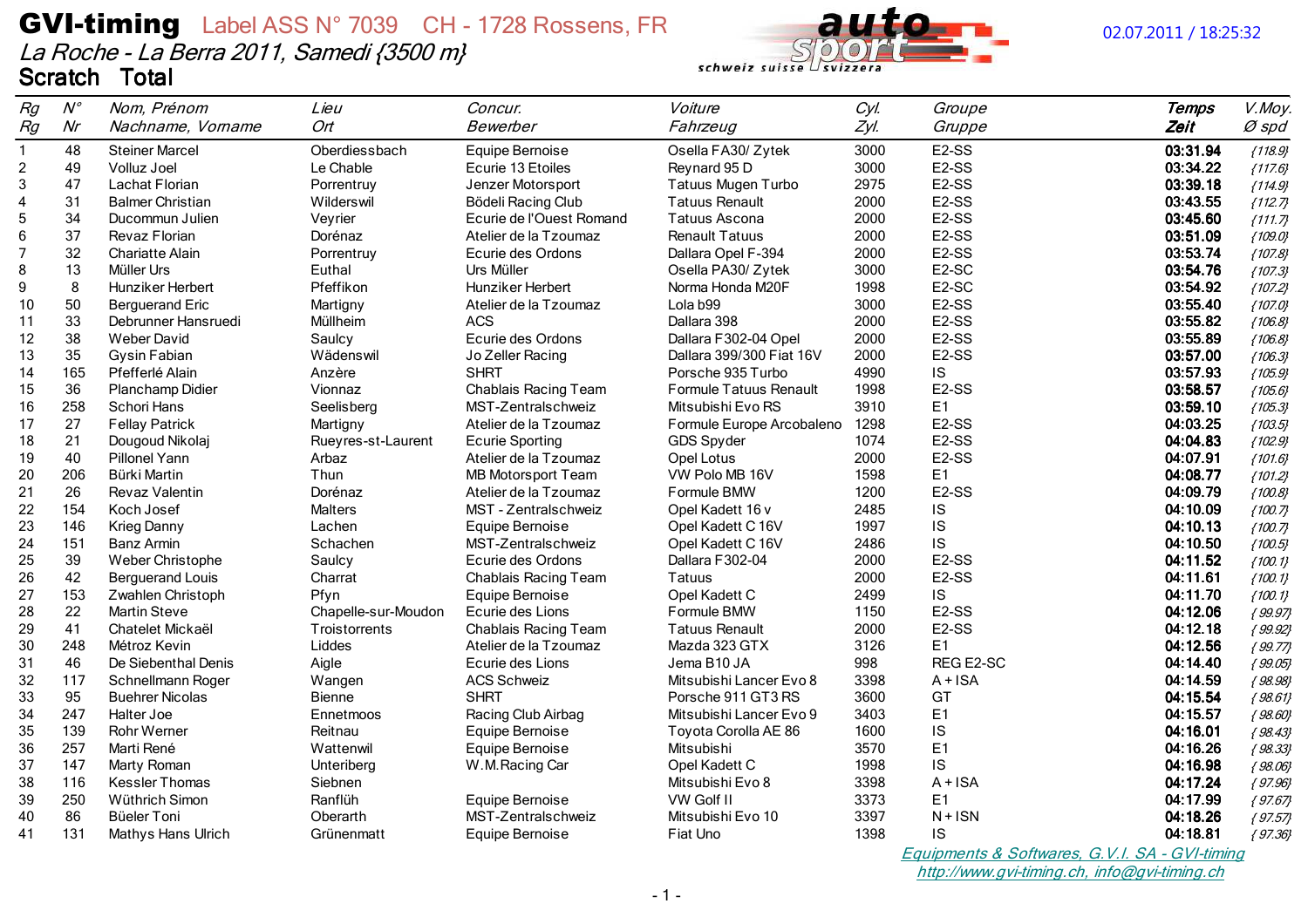

schweiz suisse

| Rg             | $N^{\circ}$ | Nom, Prénom             | Lieu                | Concur.                   | Voiture                   | Cyl. | Groupe             | Temps    | V.Moy.    |
|----------------|-------------|-------------------------|---------------------|---------------------------|---------------------------|------|--------------------|----------|-----------|
| Rg             | Nr          | Nachname, Vorname       | Ort                 | Bewerber                  | Fahrzeug                  | Zyl. | Gruppe             | Zeit     | $Ø$ spd   |
| $\mathbf{1}$   | 48          | <b>Steiner Marcel</b>   | Oberdiessbach       | Equipe Bernoise           | Osella FA30/ Zytek        | 3000 | E <sub>2</sub> -SS | 03:31.94 | ${118.9}$ |
| $\overline{c}$ | 49          | Volluz Joel             | Le Chable           | Ecurie 13 Etoiles         | Reynard 95 D              | 3000 | E <sub>2</sub> -SS | 03:34.22 | ${117.6}$ |
| 3              | 47          | Lachat Florian          | Porrentruy          | Jenzer Motorsport         | <b>Tatuus Mugen Turbo</b> | 2975 | E <sub>2</sub> -SS | 03:39.18 | ${114.9}$ |
| 4              | 31          | <b>Balmer Christian</b> | Wilderswil          | Bödeli Racing Club        | <b>Tatuus Renault</b>     | 2000 | E <sub>2</sub> -SS | 03:43.55 | ${112.7}$ |
| 5              | 34          | Ducommun Julien         | Veyrier             | Ecurie de l'Ouest Romand  | <b>Tatuus Ascona</b>      | 2000 | E <sub>2</sub> -SS | 03:45.60 | ${111.7}$ |
| 6              | 37          | Revaz Florian           | Dorénaz             | Atelier de la Tzoumaz     | <b>Renault Tatuus</b>     | 2000 | E <sub>2</sub> -SS | 03:51.09 | ${109.0}$ |
| $\overline{7}$ | 32          | <b>Chariatte Alain</b>  | Porrentruy          | Ecurie des Ordons         | Dallara Opel F-394        | 2000 | E <sub>2</sub> -SS | 03:53.74 | ${107.8}$ |
| 8              | 13          | Müller Urs              | Euthal              | Urs Müller                | Osella PA30/ Zytek        | 3000 | E <sub>2</sub> -SC | 03:54.76 | ${107.3}$ |
| 9              | 8           | Hunziker Herbert        | Pfeffikon           | Hunziker Herbert          | Norma Honda M20F          | 1998 | E <sub>2</sub> -SC | 03:54.92 | ${107.2}$ |
| 10             | 50          | <b>Berguerand Eric</b>  | Martigny            | Atelier de la Tzoumaz     | Lola b99                  | 3000 | E <sub>2</sub> -SS | 03:55.40 | ${107.0}$ |
| 11             | 33          | Debrunner Hansruedi     | Müllheim            | <b>ACS</b>                | Dallara 398               | 2000 | E <sub>2</sub> -SS | 03:55.82 | ${106.8}$ |
| 12             | 38          | <b>Weber David</b>      | Saulcy              | Ecurie des Ordons         | Dallara F302-04 Opel      | 2000 | E <sub>2</sub> -SS | 03:55.89 | ${106.8}$ |
| 13             | 35          | Gysin Fabian            | Wädenswil           | Jo Zeller Racing          | Dallara 399/300 Fiat 16V  | 2000 | E <sub>2</sub> -SS | 03:57.00 | ${106.3}$ |
| 14             | 165         | Pfefferlé Alain         | Anzère              | <b>SHRT</b>               | Porsche 935 Turbo         | 4990 | IS                 | 03:57.93 | ${105.9}$ |
| 15             | 36          | Planchamp Didier        | Vionnaz             | Chablais Racing Team      | Formule Tatuus Renault    | 1998 | E <sub>2</sub> -SS | 03:58.57 | ${105.6}$ |
| 16             | 258         | Schori Hans             | Seelisberg          | MST-Zentralschweiz        | Mitsubishi Evo RS         | 3910 | E1                 | 03:59.10 | ${105.3}$ |
| 17             | 27          | <b>Fellay Patrick</b>   | Martigny            | Atelier de la Tzoumaz     | Formule Europe Arcobaleno | 1298 | E <sub>2</sub> -SS | 04:03.25 | ${103.5}$ |
| 18             | 21          | Dougoud Nikolaj         | Rueyres-st-Laurent  | <b>Ecurie Sporting</b>    | GDS Spyder                | 1074 | E <sub>2</sub> -SS | 04:04.83 | ${102.9}$ |
| 19             | 40          | Pillonel Yann           | Arbaz               | Atelier de la Tzoumaz     | Opel Lotus                | 2000 | E <sub>2</sub> -SS | 04:07.91 | ${101.6}$ |
| 20             | 206         | Bürki Martin            | Thun                | <b>MB Motorsport Team</b> | VW Polo MB 16V            | 1598 | E1                 | 04:08.77 | ${101.2}$ |
| 21             | 26          | Revaz Valentin          | Dorénaz             | Atelier de la Tzoumaz     | Formule BMW               | 1200 | E <sub>2</sub> -SS | 04:09.79 | ${100.8}$ |
| 22             | 154         | Koch Josef              | Malters             | MST - Zentralschweiz      | Opel Kadett 16 v          | 2485 | IS                 | 04:10.09 | ${100.7}$ |
| 23             | 146         | <b>Krieg Danny</b>      | Lachen              | Equipe Bernoise           | Opel Kadett C 16V         | 1997 | IS                 | 04:10.13 | ${100.7}$ |
| 24             | 151         | <b>Banz Armin</b>       | Schachen            | MST-Zentralschweiz        | Opel Kadett C 16V         | 2486 | IS                 | 04:10.50 | ${100.5}$ |
| 25             | 39          | Weber Christophe        | Saulcy              | Ecurie des Ordons         | Dallara F302-04           | 2000 | E <sub>2</sub> -SS | 04:11.52 | ${100.1}$ |
| 26             | 42          | <b>Berguerand Louis</b> | Charrat             | Chablais Racing Team      | Tatuus                    | 2000 | E <sub>2</sub> -SS | 04:11.61 | ${100.1}$ |
| 27             | 153         | Zwahlen Christoph       | Pfyn                | Equipe Bernoise           | Opel Kadett C             | 2499 | IS                 | 04:11.70 | ${100.1}$ |
| 28             | 22          | <b>Martin Steve</b>     | Chapelle-sur-Moudon | Ecurie des Lions          | Formule BMW               | 1150 | E <sub>2</sub> -SS | 04:12.06 | ${99.97}$ |
| 29             | 41          | Chatelet Mickaël        | Troistorrents       | Chablais Racing Team      | <b>Tatuus Renault</b>     | 2000 | E <sub>2</sub> -SS | 04:12.18 | ${99.92}$ |
| 30             | 248         | Métroz Kevin            | Liddes              | Atelier de la Tzoumaz     | Mazda 323 GTX             | 3126 | E1                 | 04:12.56 | ${99.77}$ |
| 31             | 46          | De Siebenthal Denis     | Aigle               | Ecurie des Lions          | Jema B10 JA               | 998  | REG E2-SC          | 04:14.40 | ${99.05}$ |
| 32             | 117         | Schnellmann Roger       | Wangen              | <b>ACS Schweiz</b>        | Mitsubishi Lancer Evo 8   | 3398 | $A + ISA$          | 04:14.59 | ${98.98}$ |
| 33             | 95          | <b>Buehrer Nicolas</b>  | Bienne              | <b>SHRT</b>               | Porsche 911 GT3 RS        | 3600 | GT                 | 04:15.54 | ${98.61}$ |
| 34             | 247         | Halter Joe              | Ennetmoos           | Racing Club Airbag        | Mitsubishi Lancer Evo 9   | 3403 | E <sub>1</sub>     | 04:15.57 | ${98.60}$ |
| 35             | 139         | <b>Rohr Werner</b>      | Reitnau             | Equipe Bernoise           | Toyota Corolla AE 86      | 1600 | IS                 | 04:16.01 | ${98.43}$ |
| 36             | 257         | Marti René              | Wattenwil           | Equipe Bernoise           | Mitsubishi                | 3570 | E <sub>1</sub>     | 04:16.26 | ${98.33}$ |
| 37             | 147         | Marty Roman             | Unteriberg          | W.M.Racing Car            | Opel Kadett C             | 1998 | IS                 | 04:16.98 | ${98.06}$ |
| 38             | 116         | <b>Kessler Thomas</b>   | Siebnen             |                           | Mitsubishi Evo 8          | 3398 | $A + ISA$          | 04:17.24 | ${97.96}$ |
| 39             | 250         | Wüthrich Simon          | Ranflüh             | Equipe Bernoise           | VW Golf II                | 3373 | E <sub>1</sub>     | 04:17.99 | ${97.67}$ |
| 40             | 86          | Büeler Toni             | Oberarth            | MST-Zentralschweiz        | Mitsubishi Evo 10         | 3397 | $N + ISN$          | 04:18.26 | ${97.57}$ |
| 41             | 131         | Mathys Hans Ulrich      | Grünenmatt          | Equipe Bernoise           | Fiat Uno                  | 1398 | IS                 | 04:18.81 | ${97.36}$ |
|                |             |                         |                     |                           |                           |      |                    |          |           |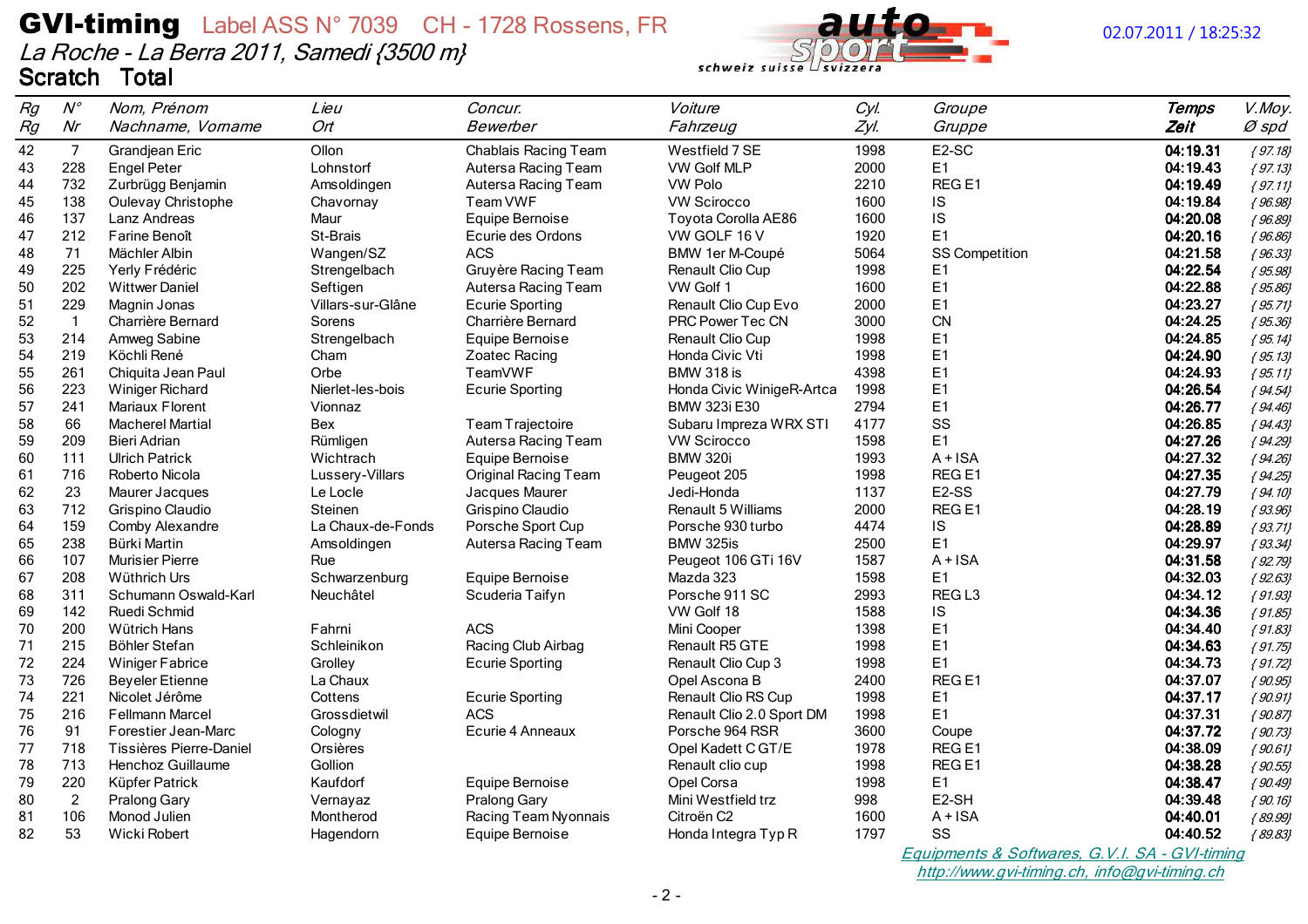

## 02.07.2011 / 18:25:32

| Rg | $N^{\circ}$    | Nom, Prénom             | Lieu              | Concur.                     | Voiture                   | Cyl. | Groupe             | <b>Temps</b> | V.Moy.      |
|----|----------------|-------------------------|-------------------|-----------------------------|---------------------------|------|--------------------|--------------|-------------|
| Rg | Nr             | Nachname, Vorname       | Ort               | Bewerber                    | Fahrzeug                  | Zyl. | Gruppe             | Zeit         | $Ø$ spd     |
| 42 | $\overline{7}$ | Grandjean Eric          | Ollon             | Chablais Racing Team        | Westfield 7 SE            | 1998 | E <sub>2</sub> -SC | 04:19.31     | ${97.18}$   |
| 43 | 228            | <b>Engel Peter</b>      | Lohnstorf         | Autersa Racing Team         | <b>VW Golf MLP</b>        | 2000 | E1                 | 04:19.43     | ${97.13}$   |
| 44 | 732            | Zurbrügg Benjamin       | Amsoldingen       | Autersa Racing Team         | <b>VW Polo</b>            | 2210 | REG <sub>E1</sub>  | 04:19.49     | ${97.11}$   |
| 45 | 138            | Oulevay Christophe      | Chavornay         | Team VWF                    | <b>VW Scirocco</b>        | 1600 | IS                 | 04:19.84     | ${96.98}$   |
| 46 | 137            | Lanz Andreas            | Maur              | Equipe Bernoise             | Toyota Corolla AE86       | 1600 | IS                 | 04:20.08     | ${96.89}$   |
| 47 | 212            | Farine Benoît           | St-Brais          | Ecurie des Ordons           | VW GOLF 16 V              | 1920 | E1                 | 04:20.16     | ${96.86}$   |
| 48 | 71             | Mächler Albin           | Wangen/SZ         | <b>ACS</b>                  | <b>BMW 1er M-Coupé</b>    | 5064 | SS Competition     | 04:21.58     | ${96.33}$   |
| 49 | 225            | Yerly Frédéric          | Strengelbach      | Gruyère Racing Team         | Renault Clio Cup          | 1998 | E1                 | 04:22.54     | ${95.98}$   |
| 50 | 202            | <b>Wittwer Daniel</b>   | Seftigen          | Autersa Racing Team         | VW Golf 1                 | 1600 | E <sub>1</sub>     | 04:22.88     | ${95.86}$   |
| 51 | 229            | Magnin Jonas            | Villars-sur-Glâne | <b>Ecurie Sporting</b>      | Renault Clio Cup Evo      | 2000 | E <sub>1</sub>     | 04:23.27     | ${95.71}$   |
| 52 | $\overline{1}$ | Charrière Bernard       | Sorens            | Charrière Bernard           | PRC Power Tec CN          | 3000 | CN                 | 04:24.25     | ${95.36}$   |
| 53 | 214            | Amweg Sabine            | Strengelbach      | Equipe Bernoise             | Renault Clio Cup          | 1998 | E1                 | 04:24.85     | $\{95.14\}$ |
| 54 | 219            | Köchli René             | Cham              | Zoatec Racing               | Honda Civic Vti           | 1998 | E <sub>1</sub>     | 04:24.90     | ${95.13}$   |
| 55 | 261            | Chiquita Jean Paul      | Orbe              | TeamVWF                     | <b>BMW 318 is</b>         | 4398 | E <sub>1</sub>     | 04:24.93     | ${95.11}$   |
| 56 | 223            | <b>Winiger Richard</b>  | Nierlet-les-bois  | <b>Ecurie Sporting</b>      | Honda Civic WinigeR-Artca | 1998 | E <sub>1</sub>     | 04:26.54     | ${94.54}$   |
| 57 | 241            | Mariaux Florent         | Vionnaz           |                             | BMW 323i E30              | 2794 | E1                 | 04:26.77     | ${94.46}$   |
| 58 | 66             | <b>Macherel Martial</b> | Bex               | Team Trajectoire            | Subaru Impreza WRX STI    | 4177 | SS                 | 04:26.85     | ${94.43}$   |
| 59 | 209            | Bieri Adrian            | Rümligen          | Autersa Racing Team         | <b>VW Scirocco</b>        | 1598 | E <sub>1</sub>     | 04:27.26     | ${94.29}$   |
| 60 | 111            | <b>Ulrich Patrick</b>   | Wichtrach         | Equipe Bernoise             | <b>BMW 320i</b>           | 1993 | $A + ISA$          | 04:27.32     | ${94.26}$   |
| 61 | 716            | Roberto Nicola          | Lussery-Villars   | <b>Original Racing Team</b> | Peugeot 205               | 1998 | REG <sub>E1</sub>  | 04:27.35     | ${94.25}$   |
| 62 | 23             | Maurer Jacques          | Le Locle          | Jacques Maurer              | Jedi-Honda                | 1137 | E <sub>2</sub> -SS | 04:27.79     | ${94.10}$   |
| 63 | 712            | Grispino Claudio        | Steinen           | Grispino Claudio            | Renault 5 Williams        | 2000 | REG <sub>E1</sub>  | 04:28.19     | ${93.96}$   |
| 64 | 159            | Comby Alexandre         | La Chaux-de-Fonds | Porsche Sport Cup           | Porsche 930 turbo         | 4474 | IS                 | 04:28.89     | ${93.71}$   |
| 65 | 238            | Bürki Martin            | Amsoldingen       | Autersa Racing Team         | BMW 325is                 | 2500 | E <sub>1</sub>     | 04:29.97     | ${93.34}$   |
| 66 | 107            | <b>Murisier Pierre</b>  | Rue               |                             | Peugeot 106 GTi 16V       | 1587 | $A + ISA$          | 04:31.58     | ${92.79}$   |
| 67 | 208            | Wüthrich Urs            | Schwarzenburg     | Equipe Bernoise             | Mazda 323                 | 1598 | E1                 | 04:32.03     | ${92.63}$   |
| 68 | 311            | Schumann Oswald-Karl    | Neuchâtel         | Scuderia Taifyn             | Porsche 911 SC            | 2993 | REG <sub>L3</sub>  | 04:34.12     | ${91.93}$   |
| 69 | 142            | Ruedi Schmid            |                   |                             | VW Golf 18                | 1588 | IS                 | 04:34.36     | ${91.85}$   |
| 70 | 200            | Wütrich Hans            | Fahrni            | <b>ACS</b>                  | Mini Cooper               | 1398 | E <sub>1</sub>     | 04:34.40     | ${91.83}$   |
| 71 | 215            | Böhler Stefan           | Schleinikon       | Racing Club Airbag          | Renault R5 GTE            | 1998 | E <sub>1</sub>     | 04:34.63     | ${91.75}$   |
| 72 | 224            | <b>Winiger Fabrice</b>  | Grolley           | <b>Ecurie Sporting</b>      | Renault Clio Cup 3        | 1998 | E1                 | 04:34.73     | ${91.72}$   |
| 73 | 726            | <b>Beyeler Etienne</b>  | La Chaux          |                             | Opel Ascona B             | 2400 | REG <sub>E1</sub>  | 04:37.07     | ${90.95}$   |
| 74 | 221            | Nicolet Jérôme          | Cottens           | <b>Ecurie Sporting</b>      | Renault Clio RS Cup       | 1998 | E1                 | 04:37.17     | ${90.91}$   |
| 75 | 216            | Fellmann Marcel         | Grossdietwil      | <b>ACS</b>                  | Renault Clio 2.0 Sport DM | 1998 | E1                 | 04:37.31     | ${90.87}$   |
| 76 | 91             | Forestier Jean-Marc     | Cologny           | Ecurie 4 Anneaux            | Porsche 964 RSR           | 3600 | Coupe              | 04:37.72     | ${90.73}$   |
| 77 | 718            | Tissières Pierre-Daniel | Orsières          |                             | Opel Kadett C GT/E        | 1978 | REG <sub>E1</sub>  | 04:38.09     | ${90.61}$   |
| 78 | 713            | Henchoz Guillaume       | Gollion           |                             | Renault clio cup          | 1998 | REG <sub>E1</sub>  | 04:38.28     | ${90.55}$   |
| 79 | 220            | Küpfer Patrick          | Kaufdorf          | Equipe Bernoise             | Opel Corsa                | 1998 | E1                 | 04:38.47     | ${90.49}$   |
| 80 | 2              | Pralong Gary            | Vernayaz          | Pralong Gary                | Mini Westfield trz        | 998  | E2-SH              | 04:39.48     | ${90.16}$   |
| 81 | 106            | Monod Julien            | Montherod         | Racing Team Nyonnais        | Citroën C <sub>2</sub>    | 1600 | $A + ISA$          | 04:40.01     | ${89.99}$   |
| 82 | 53             | <b>Wicki Robert</b>     | Hagendorn         | Equipe Bernoise             | Honda Integra Typ R       | 1797 | SS                 | 04:40.52     | ${89.83}$   |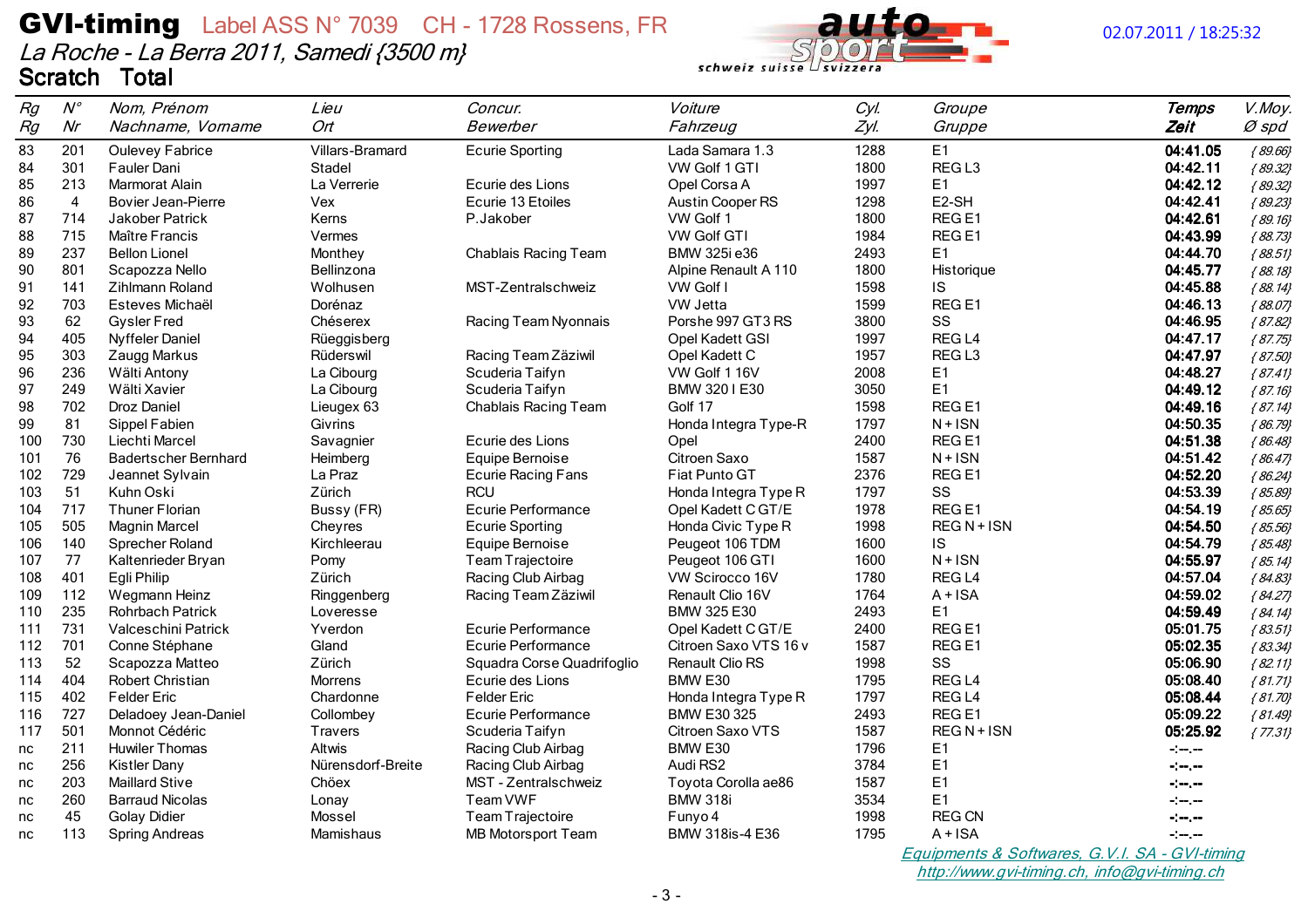

#### 02.07.2011 / 18:25:32

| Rg  | $N^{\circ}$    | Nom, Prénom                 | Lieu              | Concur.                    | Voiture                 | Cyl. | Groupe            | <b>Temps</b>                                                          | V.Moy.      |
|-----|----------------|-----------------------------|-------------------|----------------------------|-------------------------|------|-------------------|-----------------------------------------------------------------------|-------------|
| Rg  | Nr             | Nachname, Vorname           | Ort               | Bewerber                   | Fahrzeug                | Zyl. | Gruppe            | Zeit                                                                  | $Ø$ spd     |
| 83  | 201            | <b>Oulevey Fabrice</b>      | Villars-Bramard   | <b>Ecurie Sporting</b>     | Lada Samara 1.3         | 1288 | E1                | 04:41.05                                                              | ${89.66}$   |
| 84  | 301            | Fauler Dani                 | Stadel            |                            | VW Golf 1 GTI           | 1800 | REG <sub>L3</sub> | 04:42.11                                                              | ${89.32}$   |
| 85  | 213            | Marmorat Alain              | La Verrerie       | Ecurie des Lions           | Opel Corsa A            | 1997 | E <sub>1</sub>    | 04:42.12                                                              | ${89.32}$   |
| 86  | $\overline{4}$ | Bovier Jean-Pierre          | Vex               | Ecurie 13 Etoiles          | <b>Austin Cooper RS</b> | 1298 | E2-SH             | 04:42.41                                                              | ${89.23}$   |
| 87  | 714            | <b>Jakober Patrick</b>      | Kerns             | P.Jakober                  | VW Golf 1               | 1800 | REG <sub>E1</sub> | 04:42.61                                                              | ${89.16}$   |
| 88  | 715            | Maître Francis              | Vermes            |                            | <b>VW Golf GTI</b>      | 1984 | REG <sub>E1</sub> | 04:43.99                                                              | ${88.73}$   |
| 89  | 237            | <b>Bellon Lionel</b>        | Monthey           | Chablais Racing Team       | BMW 325i e36            | 2493 | E <sub>1</sub>    | 04:44.70                                                              | ${88.51}$   |
| 90  | 801            | Scapozza Nello              | Bellinzona        |                            | Alpine Renault A 110    | 1800 | Historique        | 04:45.77                                                              | ${88.18}$   |
| 91  | 141            | <b>Zihlmann Roland</b>      | Wolhusen          | MST-Zentralschweiz         | VW Golf I               | 1598 | IS.               | 04:45.88                                                              | ${88.14}$   |
| 92  | 703            | Esteves Michaël             | Dorénaz           |                            | VW Jetta                | 1599 | REG <sub>E1</sub> | 04:46.13                                                              | ${88.07}$   |
| 93  | 62             | <b>Gysler Fred</b>          | Chéserex          | Racing Team Nyonnais       | Porshe 997 GT3 RS       | 3800 | SS                | 04:46.95                                                              | ${87.82}$   |
| 94  | 405            | <b>Nyffeler Daniel</b>      | Rüeggisberg       |                            | Opel Kadett GSI         | 1997 | REG <sub>L4</sub> | 04:47.17                                                              | ${87.75}$   |
| 95  | 303            | Zaugg Markus                | Rüderswil         | Racing Team Zäziwil        | Opel Kadett C           | 1957 | REG <sub>L3</sub> | 04:47.97                                                              | ${87.50}$   |
| 96  | 236            | Wälti Antony                | La Cibourg        | Scuderia Taifyn            | VW Golf 1 16V           | 2008 | E1                | 04:48.27                                                              | ${87.41}$   |
| 97  | 249            | Wälti Xavier                | La Cibourg        | Scuderia Taifyn            | BMW 320 I E30           | 3050 | E <sub>1</sub>    | 04:49.12                                                              | ${87.16}$   |
| 98  | 702            | Droz Daniel                 | Lieugex 63        | Chablais Racing Team       | Golf 17                 | 1598 | REG <sub>E1</sub> | 04:49.16                                                              | ${87.14}$   |
| 99  | 81             | Sippel Fabien               | Givrins           |                            | Honda Integra Type-R    | 1797 | $N + ISN$         | 04:50.35                                                              | ${86.79}$   |
| 100 | 730            | Liechti Marcel              | Savagnier         | Ecurie des Lions           | Opel                    | 2400 | REG <sub>E1</sub> | 04:51.38                                                              | ${86.48}$   |
| 101 | 76             | <b>Badertscher Bernhard</b> | Heimberg          | Equipe Bernoise            | Citroen Saxo            | 1587 | $N + ISN$         | 04:51.42                                                              | ${86.47}$   |
| 102 | 729            | Jeannet Sylvain             | La Praz           | <b>Ecurie Racing Fans</b>  | Fiat Punto GT           | 2376 | REG <sub>E1</sub> | 04:52.20                                                              | ${86.24}$   |
| 103 | 51             | Kuhn Oski                   | Zürich            | <b>RCU</b>                 | Honda Integra Type R    | 1797 | SS                | 04:53.39                                                              | ${85.89}$   |
| 104 | 717            | <b>Thuner Florian</b>       | Bussy (FR)        | <b>Ecurie Performance</b>  | Opel Kadett C GT/E      | 1978 | REG <sub>E1</sub> | 04:54.19                                                              | ${85.65}$   |
| 105 | 505            | <b>Magnin Marcel</b>        | Cheyres           | <b>Ecurie Sporting</b>     | Honda Civic Type R      | 1998 | REG N + ISN       | 04:54.50                                                              | ${85.56}$   |
| 106 | 140            | Sprecher Roland             | Kirchleerau       | Equipe Bernoise            | Peugeot 106 TDM         | 1600 | IS                | 04:54.79                                                              | ${85.48}$   |
| 107 | 77             | Kaltenrieder Bryan          | Pomy              | Team Trajectoire           | Peugeot 106 GTI         | 1600 | $N + ISN$         | 04:55.97                                                              | ${85.14}$   |
| 108 | 401            | Egli Philip                 | Zürich            | Racing Club Airbag         | VW Scirocco 16V         | 1780 | REG <sub>L4</sub> | 04:57.04                                                              | ${84.83}$   |
| 109 | 112            | Wegmann Heinz               | Ringgenberg       | Racing Team Zäziwil        | Renault Clio 16V        | 1764 | $A + ISA$         | 04:59.02                                                              | ${84.27}$   |
| 110 | 235            | <b>Rohrbach Patrick</b>     | Loveresse         |                            | BMW 325 E30             | 2493 | E1                | 04:59.49                                                              | ${84.14}$   |
| 111 | 731            | Valceschini Patrick         | Yverdon           | Ecurie Performance         | Opel Kadett C GT/E      | 2400 | REG <sub>E1</sub> | 05:01.75                                                              | ${83.51}$   |
| 112 | 701            | Conne Stéphane              | Gland             | Ecurie Performance         | Citroen Saxo VTS 16 y   | 1587 | REG <sub>E1</sub> | 05:02.35                                                              | ${83.34}$   |
| 113 | 52             | Scapozza Matteo             | Zürich            | Squadra Corse Quadrifoglio | Renault Clio RS         | 1998 | SS                | 05:06.90                                                              | ${82.11}$   |
| 114 | 404            | <b>Robert Christian</b>     | <b>Morrens</b>    | Ecurie des Lions           | BMW E30                 | 1795 | REG <sub>L4</sub> | 05:08.40                                                              | ${81.71}$   |
| 115 | 402            | <b>Felder Eric</b>          | Chardonne         | <b>Felder Eric</b>         | Honda Integra Type R    | 1797 | REG <sub>L4</sub> | 05:08.44                                                              | ${81.70}$   |
| 116 | 727            | Deladoey Jean-Daniel        | Collombey         | Ecurie Performance         | <b>BMW E30 325</b>      | 2493 | REG <sub>E1</sub> | 05:09.22                                                              | ${81.49}$   |
| 117 | 501            | Monnot Cédéric              | <b>Travers</b>    | Scuderia Taifyn            | Citroen Saxo VTS        | 1587 | REG N + ISN       | 05:25.92                                                              | $\{77.31\}$ |
| nc  | 211            | <b>Huwiler Thomas</b>       | <b>Altwis</b>     | Racing Club Airbag         | BMW E30                 | 1796 | E1                | $\sim$ - $\sim$                                                       |             |
| nc  | 256            | <b>Kistler Dany</b>         | Nürensdorf-Breite | Racing Club Airbag         | Audi RS2                | 3784 | E <sub>1</sub>    | $\frac{1}{2}$ and $\frac{1}{2}$                                       |             |
| nc  | 203            | <b>Maillard Stive</b>       | Chöex             | MST - Zentralschweiz       | Toyota Corolla ae86     | 1587 | E <sub>1</sub>    | $\div$                                                                |             |
| nc  | 260            | <b>Barraud Nicolas</b>      | Lonay             | Team VWF                   | <b>BMW 318i</b>         | 3534 | E <sub>1</sub>    | -:--.--                                                               |             |
| nc  | 45             | <b>Golay Didier</b>         | Mossel            | Team Trajectoire           | Funyo 4                 | 1998 | <b>REG CN</b>     | -:--.--                                                               |             |
| nc  | 113            | <b>Spring Andreas</b>       | Mamishaus         | <b>MB Motorsport Team</b>  | BMW 318is-4 E36         | 1795 | $A + ISA$         |                                                                       |             |
|     |                |                             |                   |                            |                         |      | $\sim$ $\sim$     | -:--.--<br>$\sim$ $\sim$ $\sim$ $\sim$ $\sim$<br>$\sim$ $\sim$ $\sim$ |             |